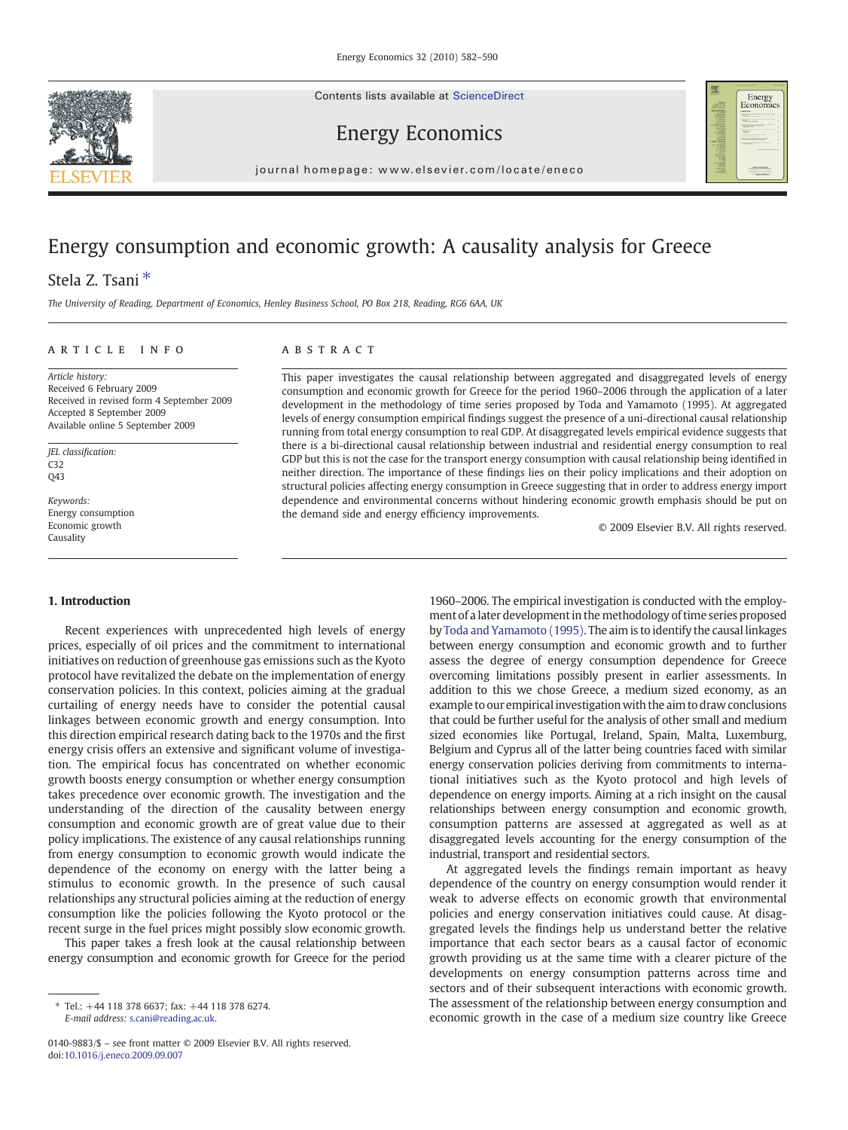Contents lists available at ScienceDirect





Energy Economics

 $j$  or extended the p and  $i$  even in the complete  $i$  of  $i$  and  $j$  and  $j$  and  $j$  and  $j$  and  $j$  and  $j$  and  $j$  and  $j$  and  $j$  and  $j$  and  $j$  and  $j$  and  $j$  and  $j$  and  $j$  and  $j$  and  $j$  and  $j$  and  $j$  and  $j$ 

## Energy consumption and economic growth: A causality analysis for Greece

### Stela Z. Tsani<sup>\*</sup>

The University of Reading, Department of Economics, Henley Business School, PO Box 218, Reading, RG6 6AA, UK

#### article info abstract

Article history: Received 6 February 2009 Received in revised form 4 September 2009 Accepted 8 September 2009 Available online 5 September 2009

JEL classification: C32 Q43

Keywords: Energy consumption Economic growth Causality

### 1. Introduction

Recent experiences with unprecedented high levels of energy prices, especially of oil prices and the commitment to international initiatives on reduction of greenhouse gas emissions such as the Kyoto protocol have revitalized the debate on the implementation of energy conservation policies. In this context, policies aiming at the gradual curtailing of energy needs have to consider the potential causal linkages between economic growth and energy consumption. Into this direction empirical research dating back to the 1970s and the first energy crisis offers an extensive and significant volume of investigation. The empirical focus has concentrated on whether economic growth boosts energy consumption or whether energy consumption takes precedence over economic growth. The investigation and the understanding of the direction of the causality between energy consumption and economic growth are of great value due to their policy implications. The existence of any causal relationships running from energy consumption to economic growth would indicate the dependence of the economy on energy with the latter being a stimulus to economic growth. In the presence of such causal relationships any structural policies aiming at the reduction of energy consumption like the policies following the Kyoto protocol or the recent surge in the fuel prices might possibly slow economic growth.

This paper takes a fresh look at the causal relationship between energy consumption and economic growth for Greece for the period

This paper investigates the causal relationship between aggregated and disaggregated levels of energy consumption and economic growth for Greece for the period 1960–2006 through the application of a later development in the methodology of time series proposed by Toda and Yamamoto (1995). At aggregated levels of energy consumption empirical findings suggest the presence of a uni-directional causal relationship running from total energy consumption to real GDP. At disaggregated levels empirical evidence suggests that there is a bi-directional causal relationship between industrial and residential energy consumption to real GDP but this is not the case for the transport energy consumption with causal relationship being identified in neither direction. The importance of these findings lies on their policy implications and their adoption on structural policies affecting energy consumption in Greece suggesting that in order to address energy import dependence and environmental concerns without hindering economic growth emphasis should be put on the demand side and energy efficiency improvements.

© 2009 Elsevier B.V. All rights reserved.

1960–2006. The empirical investigation is conducted with the employment of a later development in the methodology of time series proposed by [Toda and Yamamoto \(1995\)](#page--1-0). The aim is to identify the causal linkages between energy consumption and economic growth and to further assess the degree of energy consumption dependence for Greece overcoming limitations possibly present in earlier assessments. In addition to this we chose Greece, a medium sized economy, as an example to our empiricalinvestigation with the aim to draw conclusions that could be further useful for the analysis of other small and medium sized economies like Portugal, Ireland, Spain, Malta, Luxemburg, Belgium and Cyprus all of the latter being countries faced with similar energy conservation policies deriving from commitments to international initiatives such as the Kyoto protocol and high levels of dependence on energy imports. Aiming at a rich insight on the causal relationships between energy consumption and economic growth, consumption patterns are assessed at aggregated as well as at disaggregated levels accounting for the energy consumption of the industrial, transport and residential sectors.

At aggregated levels the findings remain important as heavy dependence of the country on energy consumption would render it weak to adverse effects on economic growth that environmental policies and energy conservation initiatives could cause. At disaggregated levels the findings help us understand better the relative importance that each sector bears as a causal factor of economic growth providing us at the same time with a clearer picture of the developments on energy consumption patterns across time and sectors and of their subsequent interactions with economic growth. The assessment of the relationship between energy consumption and economic growth in the case of a medium size country like Greece

<sup>⁎</sup> Tel.: +44 118 378 6637; fax: +44 118 378 6274. E-mail address: [s.cani@reading.ac.uk.](mailto:s.cani@reading.ac.uk)

<sup>0140-9883/\$</sup> – see front matter © 2009 Elsevier B.V. All rights reserved. doi[:10.1016/j.eneco.2009.09.007](http://dx.doi.org/10.1016/j.eneco.2009.09.007)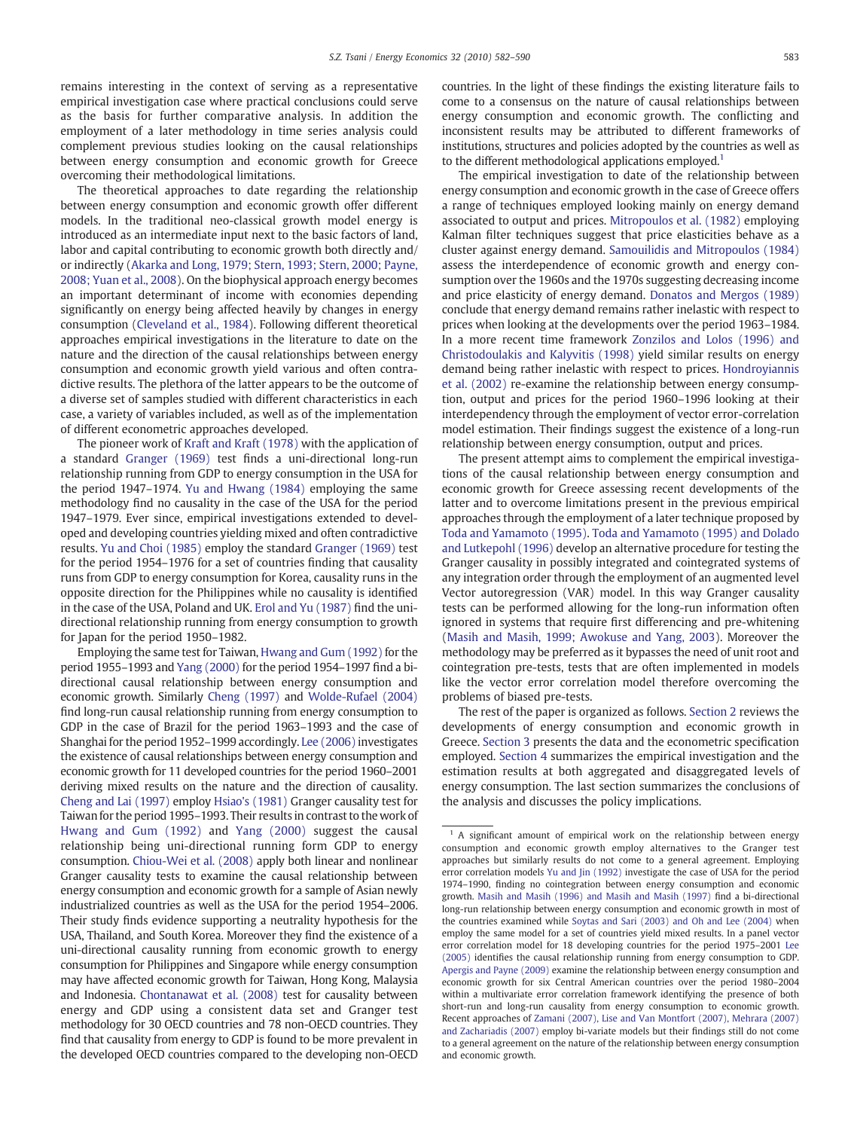remains interesting in the context of serving as a representative empirical investigation case where practical conclusions could serve as the basis for further comparative analysis. In addition the employment of a later methodology in time series analysis could complement previous studies looking on the causal relationships between energy consumption and economic growth for Greece overcoming their methodological limitations.

The theoretical approaches to date regarding the relationship between energy consumption and economic growth offer different models. In the traditional neo-classical growth model energy is introduced as an intermediate input next to the basic factors of land, labor and capital contributing to economic growth both directly and/ or indirectly [\(Akarka and Long, 1979; Stern, 1993; Stern, 2000; Payne,](#page--1-0) [2008; Yuan et al., 2008](#page--1-0)). On the biophysical approach energy becomes an important determinant of income with economies depending significantly on energy being affected heavily by changes in energy consumption [\(Cleveland et al., 1984\)](#page--1-0). Following different theoretical approaches empirical investigations in the literature to date on the nature and the direction of the causal relationships between energy consumption and economic growth yield various and often contradictive results. The plethora of the latter appears to be the outcome of a diverse set of samples studied with different characteristics in each case, a variety of variables included, as well as of the implementation of different econometric approaches developed.

The pioneer work of [Kraft and Kraft \(1978\)](#page--1-0) with the application of a standard [Granger \(1969\)](#page--1-0) test finds a uni-directional long-run relationship running from GDP to energy consumption in the USA for the period 1947–1974. [Yu and Hwang \(1984\)](#page--1-0) employing the same methodology find no causality in the case of the USA for the period 1947–1979. Ever since, empirical investigations extended to developed and developing countries yielding mixed and often contradictive results. [Yu and Choi \(1985\)](#page--1-0) employ the standard [Granger \(1969\)](#page--1-0) test for the period 1954–1976 for a set of countries finding that causality runs from GDP to energy consumption for Korea, causality runs in the opposite direction for the Philippines while no causality is identified in the case of the USA, Poland and UK. [Erol and Yu \(1987\)](#page--1-0) find the unidirectional relationship running from energy consumption to growth for Japan for the period 1950–1982.

Employing the same test for Taiwan, [Hwang and Gum \(1992\)](#page--1-0) for the period 1955–1993 and [Yang \(2000\)](#page--1-0) for the period 1954–1997 find a bidirectional causal relationship between energy consumption and economic growth. Similarly [Cheng \(1997\)](#page--1-0) and [Wolde-Rufael \(2004\)](#page--1-0) find long-run causal relationship running from energy consumption to GDP in the case of Brazil for the period 1963–1993 and the case of Shanghai for the period 1952–1999 accordingly. [Lee \(2006\)](#page--1-0) investigates the existence of causal relationships between energy consumption and economic growth for 11 developed countries for the period 1960–2001 deriving mixed results on the nature and the direction of causality. [Cheng and Lai \(1997\)](#page--1-0) employ [Hsiao's \(1981\)](#page--1-0) Granger causality test for Taiwan for the period 1995–1993. Their results in contrast to the work of [Hwang and Gum \(1992\)](#page--1-0) and [Yang \(2000\)](#page--1-0) suggest the causal relationship being uni-directional running form GDP to energy consumption. [Chiou-Wei et al. \(2008\)](#page--1-0) apply both linear and nonlinear Granger causality tests to examine the causal relationship between energy consumption and economic growth for a sample of Asian newly industrialized countries as well as the USA for the period 1954–2006. Their study finds evidence supporting a neutrality hypothesis for the USA, Thailand, and South Korea. Moreover they find the existence of a uni-directional causality running from economic growth to energy consumption for Philippines and Singapore while energy consumption may have affected economic growth for Taiwan, Hong Kong, Malaysia and Indonesia. [Chontanawat et al. \(2008\)](#page--1-0) test for causality between energy and GDP using a consistent data set and Granger test methodology for 30 OECD countries and 78 non-OECD countries. They find that causality from energy to GDP is found to be more prevalent in the developed OECD countries compared to the developing non-OECD countries. In the light of these findings the existing literature fails to come to a consensus on the nature of causal relationships between energy consumption and economic growth. The conflicting and inconsistent results may be attributed to different frameworks of institutions, structures and policies adopted by the countries as well as to the different methodological applications employed.<sup>1</sup>

The empirical investigation to date of the relationship between energy consumption and economic growth in the case of Greece offers a range of techniques employed looking mainly on energy demand associated to output and prices. [Mitropoulos et al. \(1982\)](#page--1-0) employing Kalman filter techniques suggest that price elasticities behave as a cluster against energy demand. [Samouilidis and Mitropoulos \(1984\)](#page--1-0) assess the interdependence of economic growth and energy consumption over the 1960s and the 1970s suggesting decreasing income and price elasticity of energy demand. [Donatos and Mergos \(1989\)](#page--1-0) conclude that energy demand remains rather inelastic with respect to prices when looking at the developments over the period 1963–1984. In a more recent time framework [Zonzilos and Lolos \(1996\) and](#page--1-0) [Christodoulakis and Kalyvitis \(1998\)](#page--1-0) yield similar results on energy demand being rather inelastic with respect to prices. [Hondroyiannis](#page--1-0) [et al. \(2002\)](#page--1-0) re-examine the relationship between energy consumption, output and prices for the period 1960–1996 looking at their interdependency through the employment of vector error-correlation model estimation. Their findings suggest the existence of a long-run relationship between energy consumption, output and prices.

The present attempt aims to complement the empirical investigations of the causal relationship between energy consumption and economic growth for Greece assessing recent developments of the latter and to overcome limitations present in the previous empirical approaches through the employment of a later technique proposed by [Toda and Yamamoto \(1995\)](#page--1-0). [Toda and Yamamoto \(1995\) and Dolado](#page--1-0) [and Lutkepohl \(1996\)](#page--1-0) develop an alternative procedure for testing the Granger causality in possibly integrated and cointegrated systems of any integration order through the employment of an augmented level Vector autoregression (VAR) model. In this way Granger causality tests can be performed allowing for the long-run information often ignored in systems that require first differencing and pre-whitening [\(Masih and Masih, 1999; Awokuse and Yang, 2003](#page--1-0)). Moreover the methodology may be preferred as it bypasses the need of unit root and cointegration pre-tests, tests that are often implemented in models like the vector error correlation model therefore overcoming the problems of biased pre-tests.

The rest of the paper is organized as follows. [Section 2](#page--1-0) reviews the developments of energy consumption and economic growth in Greece. [Section 3](#page--1-0) presents the data and the econometric specification employed. [Section 4](#page--1-0) summarizes the empirical investigation and the estimation results at both aggregated and disaggregated levels of energy consumption. The last section summarizes the conclusions of the analysis and discusses the policy implications.

<sup>&</sup>lt;sup>1</sup> A significant amount of empirical work on the relationship between energy consumption and economic growth employ alternatives to the Granger test approaches but similarly results do not come to a general agreement. Employing error correlation models [Yu and Jin \(1992\)](#page--1-0) investigate the case of USA for the period 1974–1990, finding no cointegration between energy consumption and economic growth. [Masih and Masih \(1996\) and Masih and Masih \(1997\)](#page--1-0) find a bi-directional long-run relationship between energy consumption and economic growth in most of the countries examined while [Soytas and Sari \(2003\) and Oh and Lee \(2004\)](#page--1-0) when employ the same model for a set of countries yield mixed results. In a panel vector error correlation model for 18 developing countries for the period 1975–2001 [Lee](#page--1-0) [\(2005\)](#page--1-0) identifies the causal relationship running from energy consumption to GDP. [Apergis and Payne \(2009\)](#page--1-0) examine the relationship between energy consumption and economic growth for six Central American countries over the period 1980–2004 within a multivariate error correlation framework identifying the presence of both short-run and long-run causality from energy consumption to economic growth. Recent approaches of [Zamani \(2007\), Lise and Van Montfort \(2007\), Mehrara \(2007\)](#page--1-0) [and Zachariadis \(2007\)](#page--1-0) employ bi-variate models but their findings still do not come to a general agreement on the nature of the relationship between energy consumption and economic growth.